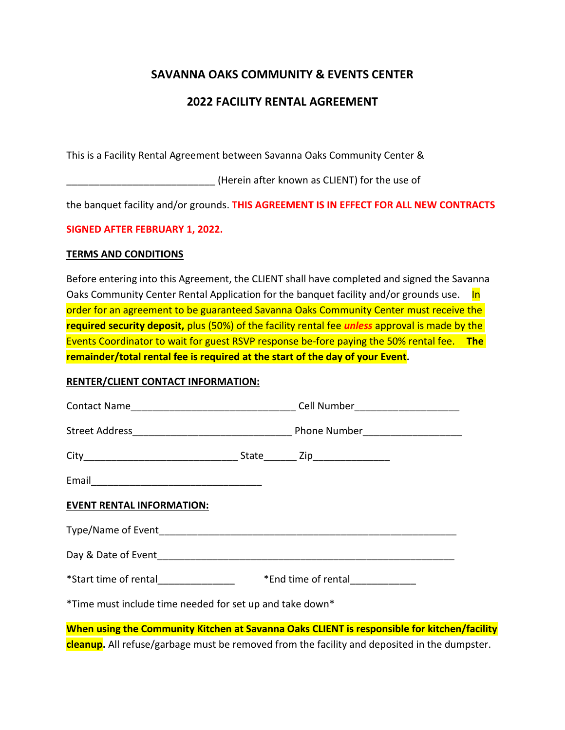# **SAVANNA OAKS COMMUNITY & EVENTS CENTER**

### **2022 FACILITY RENTAL AGREEMENT**

This is a Facility Rental Agreement between Savanna Oaks Community Center &

\_\_\_\_\_\_\_\_\_\_\_\_\_\_\_\_\_\_\_\_\_\_\_\_\_\_\_ (Herein after known as CLIENT) for the use of

the banquet facility and/or grounds. **THIS AGREEMENT IS IN EFFECT FOR ALL NEW CONTRACTS**

### **SIGNED AFTER FEBRUARY 1, 2022.**

### **TERMS AND CONDITIONS**

Before entering into this Agreement, the CLIENT shall have completed and signed the Savanna Oaks Community Center Rental Application for the banquet facility and/or grounds use. In order for an agreement to be guaranteed Savanna Oaks Community Center must receive the **required security deposit,** plus (50%) of the facility rental fee *unless* approval is made by the Events Coordinator to wait for guest RSVP response be-fore paying the 50% rental fee. **The remainder/total rental fee is required at the start of the day of your Event.**

### **RENTER/CLIENT CONTACT INFORMATION:**

| <b>EVENT RENTAL INFORMATION:</b>                                                            |                                                                           |  |
|---------------------------------------------------------------------------------------------|---------------------------------------------------------------------------|--|
|                                                                                             |                                                                           |  |
|                                                                                             |                                                                           |  |
|                                                                                             | *Start time of rental___________________ *End time of rental_____________ |  |
| *Time must include time needed for set up and take down*                                    |                                                                           |  |
| When using the Community Kitchen at Savanna Oaks CLIENT is responsible for kitchen/facility |                                                                           |  |

**cleanup.** All refuse/garbage must be removed from the facility and deposited in the dumpster.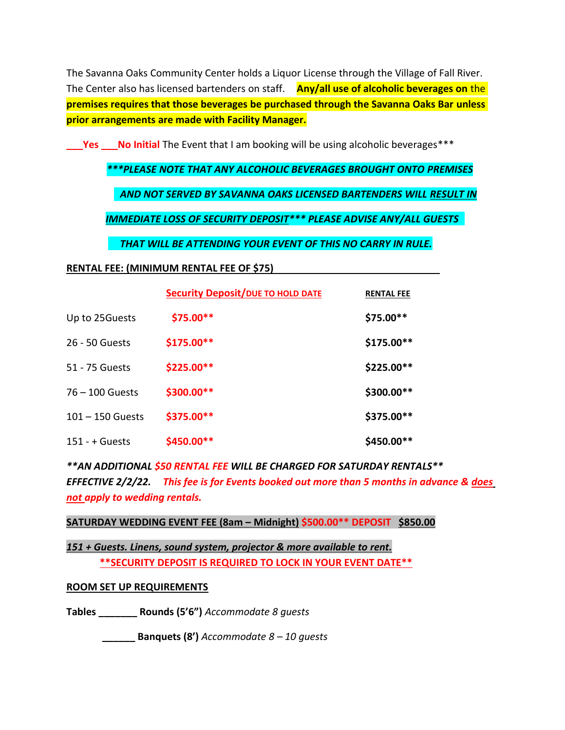The Savanna Oaks Community Center holds a Liquor License through the Village of Fall River. The Center also has licensed bartenders on staff. **Any/all use of alcoholic beverages on** the **premises requires that those beverages be purchased through the Savanna Oaks Bar unless prior arrangements are made with Facility Manager.**

**The Step Septimal The Event that I am booking will be using alcoholic beverages\*\*\*** 

*\*\*\*PLEASE NOTE THAT ANY ALCOHOLIC BEVERAGES BROUGHT ONTO PREMISES*

 *AND NOT SERVED BY SAVANNA OAKS LICENSED BARTENDERS WILL RESULT IN*

*IMMEDIATE LOSS OF SECURITY DEPOSIT\*\*\* PLEASE ADVISE ANY/ALL GUESTS* 

 *THAT WILL BE ATTENDING YOUR EVENT OF THIS NO CARRY IN RULE.*

### **RENTAL FEE: (MINIMUM RENTAL FEE OF \$75)**

|                    | <b>Security Deposit/DUE TO HOLD DATE</b> | <b>RENTAL FEE</b> |
|--------------------|------------------------------------------|-------------------|
| Up to 25Guests     | \$75.00**                                | \$75.00**         |
| 26 - 50 Guests     | \$175.00**                               | \$175.00**        |
| 51 - 75 Guests     | \$225.00**                               | \$225.00**        |
| $76 - 100$ Guests  | \$300.00**                               | $$300.00**$       |
| $101 - 150$ Guests | \$375.00**                               | \$375.00**        |
| $151 - +$ Guests   | $$450.00**$$                             | $$450.00**$$      |

*\*\*AN ADDITIONAL \$50 RENTAL FEE WILL BE CHARGED FOR SATURDAY RENTALS\*\* EFFECTIVE 2/2/22. This fee is for Events booked out more than 5 months in advance & does not apply to wedding rentals.*

**SATURDAY WEDDING EVENT FEE (8am – Midnight) \$500.00\*\* DEPOSIT \$850.00**

*151 + Guests. Linens, sound system, projector & more available to rent.* **\*\*SECURITY DEPOSIT IS REQUIRED TO LOCK IN YOUR EVENT DATE\*\***

### **ROOM SET UP REQUIREMENTS**

**Tables \_\_\_\_\_\_\_ Rounds (5'6")** *Accommodate 8 guests*

 **\_\_\_\_\_\_ Banquets (8')** *Accommodate 8 – 10 guests*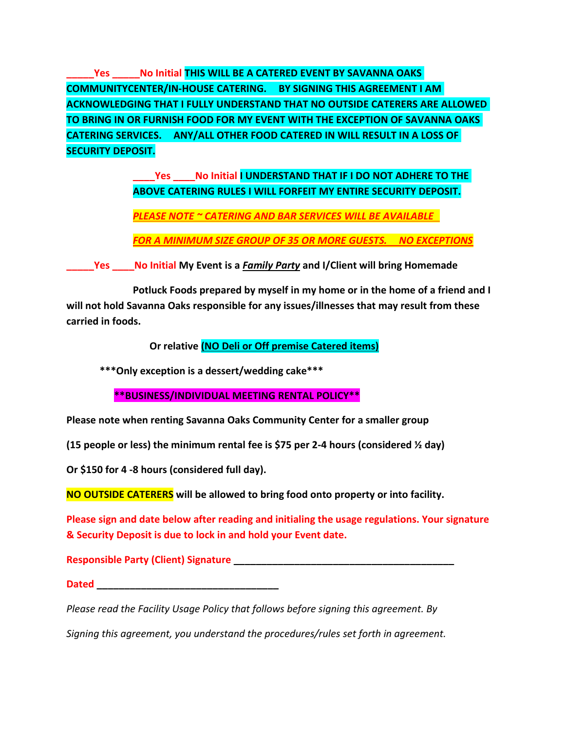**\_\_\_\_\_Yes \_\_\_\_\_No Initial THIS WILL BE A CATERED EVENT BY SAVANNA OAKS COMMUNITYCENTER/IN-HOUSE CATERING. BY SIGNING THIS AGREEMENT I AM ACKNOWLEDGING THAT I FULLY UNDERSTAND THAT NO OUTSIDE CATERERS ARE ALLOWED TO BRING IN OR FURNISH FOOD FOR MY EVENT WITH THE EXCEPTION OF SAVANNA OAKS CATERING SERVICES. ANY/ALL OTHER FOOD CATERED IN WILL RESULT IN A LOSS OF SECURITY DEPOSIT.**

> **\_\_\_\_Yes \_\_\_\_No Initial I UNDERSTAND THAT IF I DO NOT ADHERE TO THE ABOVE CATERING RULES I WILL FORFEIT MY ENTIRE SECURITY DEPOSIT.**

*PLEASE NOTE ~ CATERING AND BAR SERVICES WILL BE AVAILABLE* 

*FOR A MINIMUM SIZE GROUP OF 35 OR MORE GUESTS. NO EXCEPTIONS*

**\_\_\_\_\_Yes \_\_\_\_No Initial My Event is a** *Family Party* **and I/Client will bring Homemade**

**Potluck Foods prepared by myself in my home or in the home of a friend and I will not hold Savanna Oaks responsible for any issues/illnesses that may result from these carried in foods.**

 **Or relative (NO Deli or Off premise Catered items)**

**\*\*\*Only exception is a dessert/wedding cake\*\*\***

 **\*\*BUSINESS/INDIVIDUAL MEETING RENTAL POLICY\*\***

**Please note when renting Savanna Oaks Community Center for a smaller group**

**(15 people or less) the minimum rental fee is \$75 per 2-4 hours (considered ½ day)**

**Or \$150 for 4 -8 hours (considered full day).**

**NO OUTSIDE CATERERS will be allowed to bring food onto property or into facility.**

**Please sign and date below after reading and initialing the usage regulations. Your signature & Security Deposit is due to lock in and hold your Event date.**

**Responsible Party (Client) Signature \_\_\_\_\_\_\_\_\_\_\_\_\_\_\_\_\_\_\_\_\_\_\_\_\_\_\_\_\_\_\_\_\_\_\_\_\_\_\_\_**

**Dated \_\_\_\_\_\_\_\_\_\_\_\_\_\_\_\_\_\_\_\_\_\_\_\_\_\_\_\_\_\_\_\_\_**

*Please read the Facility Usage Policy that follows before signing this agreement. By*

*Signing this agreement, you understand the procedures/rules set forth in agreement.*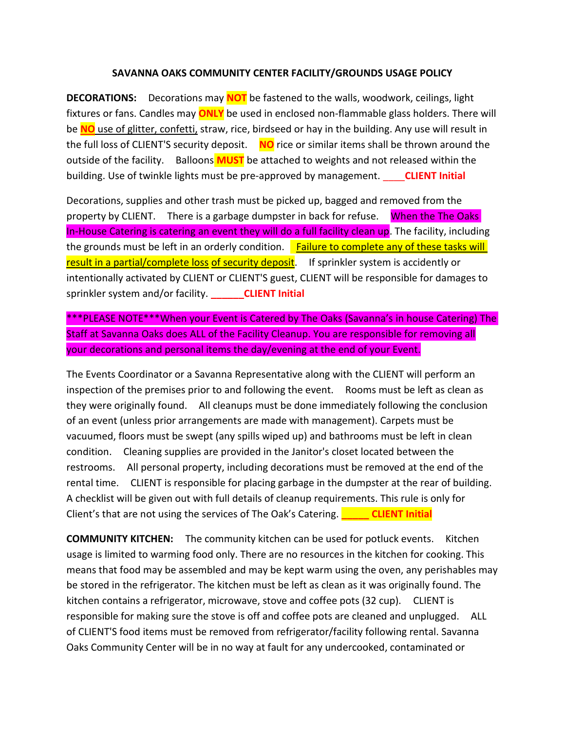#### **SAVANNA OAKS COMMUNITY CENTER FACILITY/GROUNDS USAGE POLICY**

**DECORATIONS:** Decorations may **NOT** be fastened to the walls, woodwork, ceilings, light fixtures or fans. Candles may **ONLY** be used in enclosed non-flammable glass holders. There will be **NO** use of glitter, confetti, straw, rice, birdseed or hay in the building. Any use will result in the full loss of CLIENT'S security deposit. **NO** rice or similar items shall be thrown around the outside of the facility. Balloons **MUST** be attached to weights and not released within the building. Use of twinkle lights must be pre-approved by management. \_\_\_\_**CLIENT Initial**

Decorations, supplies and other trash must be picked up, bagged and removed from the property by CLIENT. There is a garbage dumpster in back for refuse. When the The Oaks In-House Catering is catering an event they will do a full facility clean up. The facility, including the grounds must be left in an orderly condition. Failure to complete any of these tasks will result in a partial/complete loss of security deposit. If sprinkler system is accidently or intentionally activated by CLIENT or CLIENT'S guest, CLIENT will be responsible for damages to sprinkler system and/or facility. **\_\_\_\_\_\_CLIENT Initial**

\*\*\*PLEASE NOTE\*\*\*When your Event is Catered by The Oaks (Savanna's in house Catering) The Staff at Savanna Oaks does ALL of the Facility Cleanup. You are responsible for removing all your decorations and personal items the day/evening at the end of your Event.

The Events Coordinator or a Savanna Representative along with the CLIENT will perform an inspection of the premises prior to and following the event. Rooms must be left as clean as they were originally found. All cleanups must be done immediately following the conclusion of an event (unless prior arrangements are made with management). Carpets must be vacuumed, floors must be swept (any spills wiped up) and bathrooms must be left in clean condition. Cleaning supplies are provided in the Janitor's closet located between the restrooms. All personal property, including decorations must be removed at the end of the rental time. CLIENT is responsible for placing garbage in the dumpster at the rear of building. A checklist will be given out with full details of cleanup requirements. This rule is only for Client's that are not using the services of The Oak's Catering. **\_\_\_\_\_ CLIENT Initial**

**COMMUNITY KITCHEN:** The community kitchen can be used for potluck events. Kitchen usage is limited to warming food only. There are no resources in the kitchen for cooking. This means that food may be assembled and may be kept warm using the oven, any perishables may be stored in the refrigerator. The kitchen must be left as clean as it was originally found. The kitchen contains a refrigerator, microwave, stove and coffee pots (32 cup). CLIENT is responsible for making sure the stove is off and coffee pots are cleaned and unplugged. ALL of CLIENT'S food items must be removed from refrigerator/facility following rental. Savanna Oaks Community Center will be in no way at fault for any undercooked, contaminated or